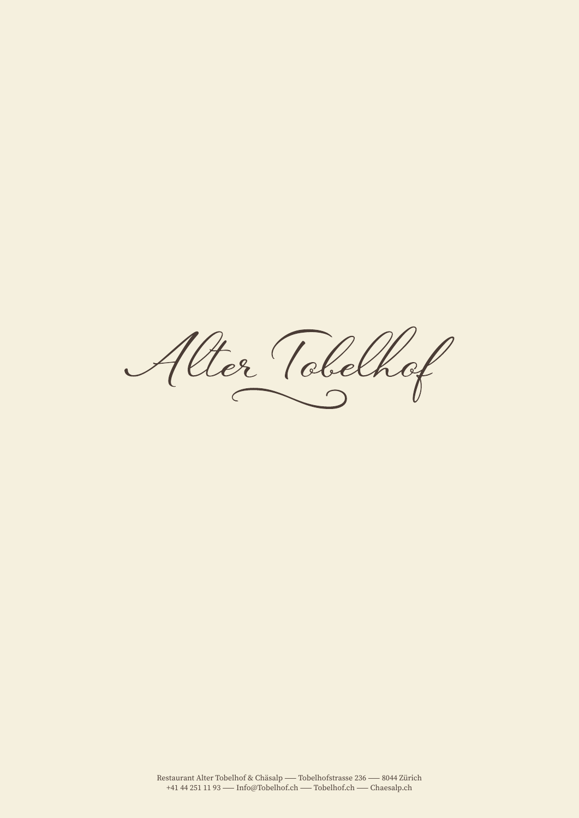Alter Tobelhof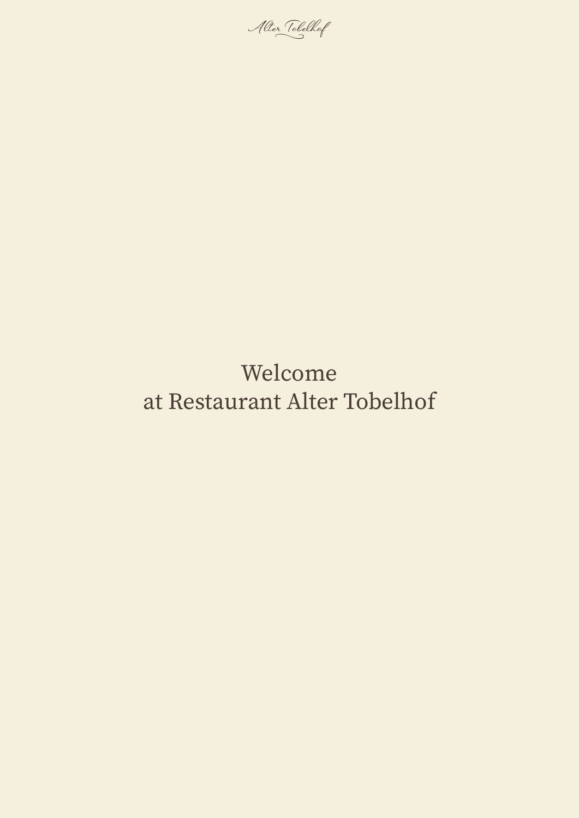

# Welcome at Restaurant Alter Tobelhof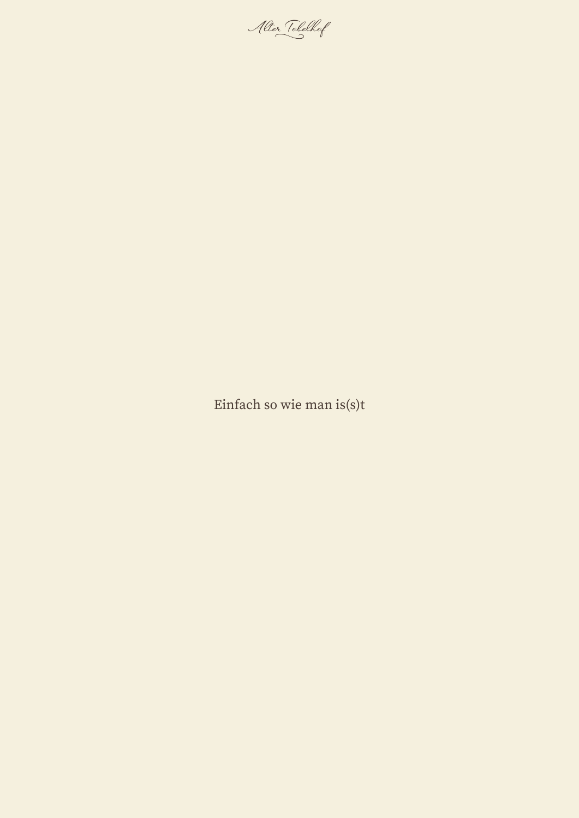Alter Tobelhof

Einfach so wie man is $(s)t$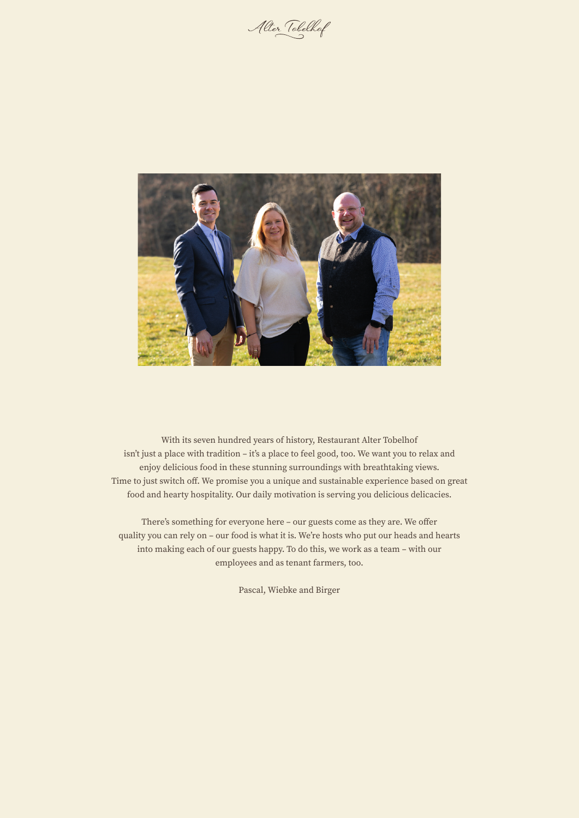Alter Tobelhof



With its seven hundred years of history, Restaurant Alter Tobelhof isn't just a place with tradition – it's a place to feel good, too. We want you to relax and enjoy delicious food in these stunning surroundings with breathtaking views. Time to just switch off. We promise you a unique and sustainable experience based on great food and hearty hospitality. Our daily motivation is serving you delicious delicacies.

There's something for everyone here – our guests come as they are. We offer quality you can rely on – our food is what it is. We're hosts who put our heads and hearts into making each of our guests happy. To do this, we work as a team – with our employees and as tenant farmers, too.

Pascal, Wiebke and Birger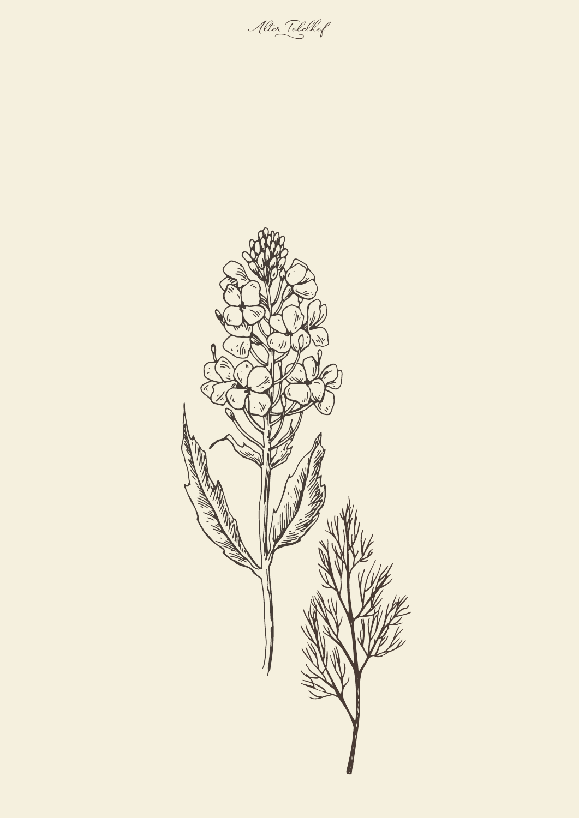

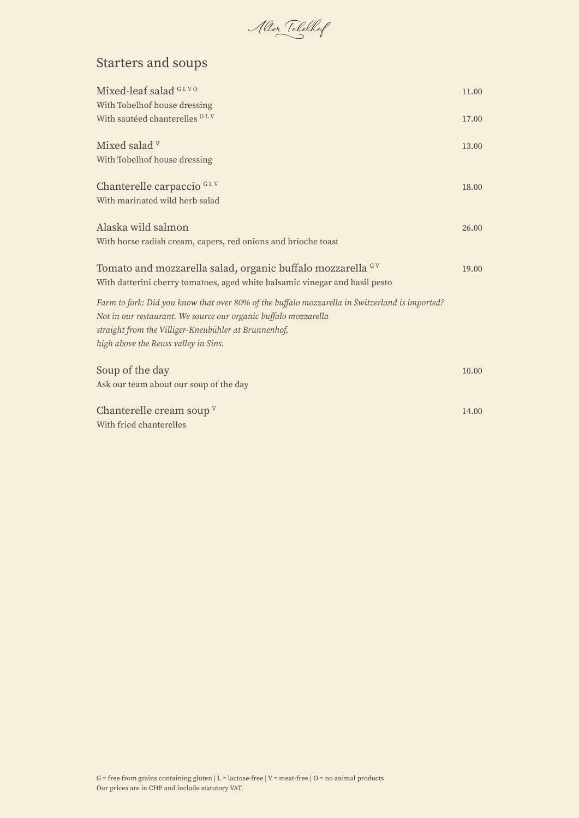

## Starters and soups

| Mixed-leaf salad GLVO                                                                                                                                                                                                                                             | 11.00 |
|-------------------------------------------------------------------------------------------------------------------------------------------------------------------------------------------------------------------------------------------------------------------|-------|
| With Tobelhof house dressing<br>With sautéed chanterelles <sup>GLV</sup>                                                                                                                                                                                          | 17.00 |
| Mixed salad V<br>With Tobelhof house dressing                                                                                                                                                                                                                     | 13.00 |
| Chanterelle carpaccio GLV<br>With marinated wild herb salad                                                                                                                                                                                                       | 18.00 |
| Alaska wild salmon<br>With horse radish cream, capers, red onions and brioche toast                                                                                                                                                                               | 26.00 |
| Tomato and mozzarella salad, organic buffalo mozzarella $^\mathrm{GV}$<br>With datterini cherry tomatoes, aged white balsamic vinegar and basil pesto                                                                                                             | 19.00 |
| Farm to fork: Did you know that over 80% of the buffalo mozzarella in Switzerland is imported?<br>Not in our restaurant. We source our organic buffalo mozzarella<br>straight from the Villiger-Kneubühler at Brunnenhof,<br>high above the Reuss valley in Sins. |       |
| Soup of the day<br>Ask our team about our soup of the day                                                                                                                                                                                                         | 10.00 |
| Chanterelle cream soup $V$<br>With fried chanterelles                                                                                                                                                                                                             | 14.00 |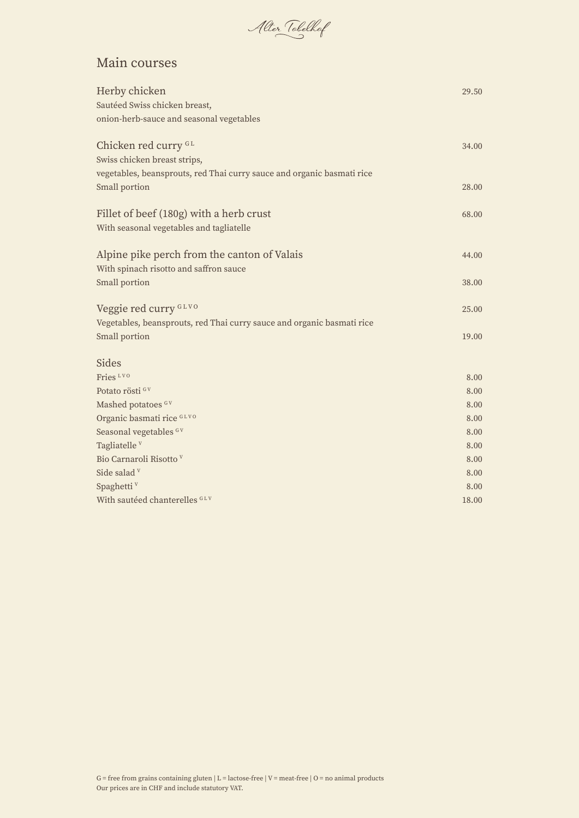Alter Tobelhof

#### Main courses

| Herby chicken                                                          | 29.50 |
|------------------------------------------------------------------------|-------|
| Sautéed Swiss chicken breast,                                          |       |
| onion-herb-sauce and seasonal vegetables                               |       |
| Chicken red curry GL                                                   | 34.00 |
| Swiss chicken breast strips,                                           |       |
| vegetables, beansprouts, red Thai curry sauce and organic basmati rice |       |
| Small portion                                                          | 28.00 |
| Fillet of beef (180g) with a herb crust                                | 68.00 |
| With seasonal vegetables and tagliatelle                               |       |
| Alpine pike perch from the canton of Valais                            | 44.00 |
| With spinach risotto and saffron sauce                                 |       |
| Small portion                                                          | 38.00 |
| Veggie red curry GLVO                                                  | 25.00 |
| Vegetables, beansprouts, red Thai curry sauce and organic basmati rice |       |
| Small portion                                                          | 19.00 |
| Sides                                                                  |       |
| Fries <sup>LVO</sup>                                                   | 8.00  |
| Potato rösti GV                                                        | 8.00  |
| Mashed potatoes GV                                                     | 8.00  |
| Organic basmati rice GLVO                                              | 8.00  |
| Seasonal vegetables GV                                                 | 8.00  |
| Tagliatelle <sup>v</sup>                                               | 8.00  |
| Bio Carnaroli Risotto <sup>v</sup>                                     | 8.00  |
| Side salad <sup>v</sup>                                                | 8.00  |
| Spaghetti <sup>v</sup>                                                 | 8.00  |
| With sautéed chanterelles GLV                                          | 18.00 |
|                                                                        |       |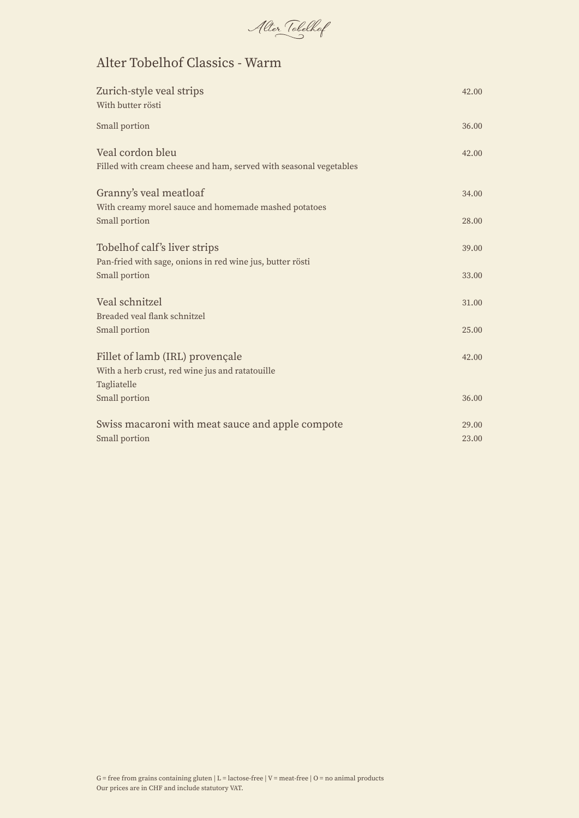

### Alter Tobelhof Classics - Warm

| Zurich-style veal strips                                          | 42.00 |
|-------------------------------------------------------------------|-------|
| With butter rösti                                                 |       |
| Small portion                                                     | 36.00 |
| Veal cordon bleu                                                  | 42.00 |
| Filled with cream cheese and ham, served with seasonal vegetables |       |
| Granny's veal meatloaf                                            | 34.00 |
| With creamy morel sauce and homemade mashed potatoes              |       |
| Small portion                                                     | 28.00 |
| Tobelhof calf's liver strips                                      | 39.00 |
| Pan-fried with sage, onions in red wine jus, butter rösti         |       |
| Small portion                                                     | 33.00 |
| Veal schnitzel                                                    | 31.00 |
| Breaded yeal flank schnitzel                                      |       |
| Small portion                                                     | 25.00 |
| Fillet of lamb (IRL) provençale                                   | 42.00 |
| With a herb crust, red wine jus and ratatouille                   |       |
| Tagliatelle                                                       |       |
| Small portion                                                     | 36.00 |
| Swiss macaroni with meat sauce and apple compote                  | 29.00 |
| Small portion                                                     | 23.00 |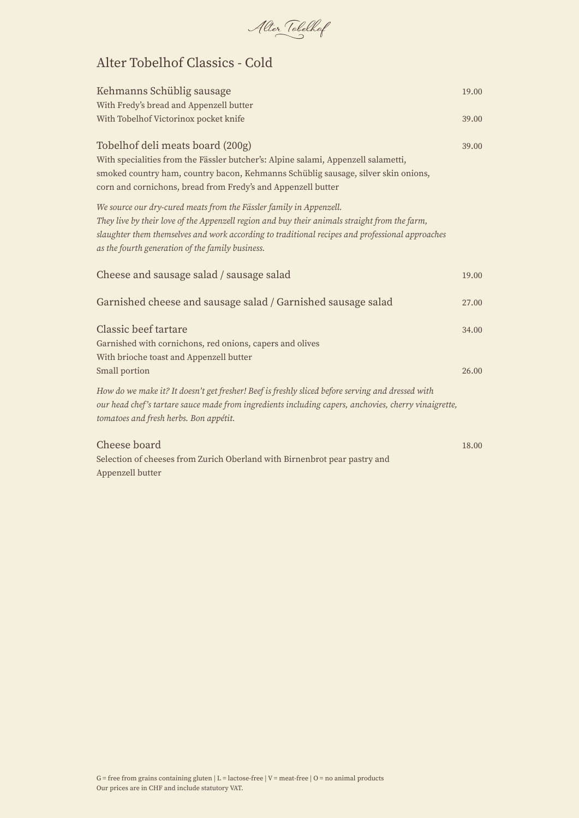

#### Alter Tobelhof Classics - Cold

| Kehmanns Schüblig sausage                                                                                                                                                                                                                                                                                                   | 19.00 |
|-----------------------------------------------------------------------------------------------------------------------------------------------------------------------------------------------------------------------------------------------------------------------------------------------------------------------------|-------|
| With Fredy's bread and Appenzell butter                                                                                                                                                                                                                                                                                     |       |
| With Tobelhof Victorinox pocket knife                                                                                                                                                                                                                                                                                       | 39.00 |
| Tobelhof deli meats board (200g)<br>With specialities from the Fässler butcher's: Alpine salami, Appenzell salametti,<br>smoked country ham, country bacon, Kehmanns Schüblig sausage, silver skin onions,<br>corn and cornichons, bread from Fredy's and Appenzell butter                                                  | 39.00 |
| We source our dry-cured meats from the Fässler family in Appenzell.<br>They live by their love of the Appenzell region and buy their animals straight from the farm,<br>slaughter them themselves and work according to traditional recipes and professional approaches<br>as the fourth generation of the family business. |       |
| Cheese and sausage salad / sausage salad                                                                                                                                                                                                                                                                                    | 19.00 |
| Garnished cheese and sausage salad / Garnished sausage salad                                                                                                                                                                                                                                                                | 27.00 |
| Classic beef tartare<br>Garnished with cornichons, red onions, capers and olives<br>With brioche toast and Appenzell butter                                                                                                                                                                                                 | 34.00 |
| Small portion                                                                                                                                                                                                                                                                                                               | 26.00 |
| How do we make it? It doesn't get fresher! Beef is freshly sliced before serving and dressed with<br>our head chef's tartare sauce made from ingredients including capers, anchovies, cherry vinaigrette,<br>tomatoes and fresh herbs. Bon appétit.                                                                         |       |
| Cheese board                                                                                                                                                                                                                                                                                                                | 18.00 |
| Selection of cheeses from Zurich Oberland with Birnenbrot pear pastry and                                                                                                                                                                                                                                                   |       |

Appenzell butter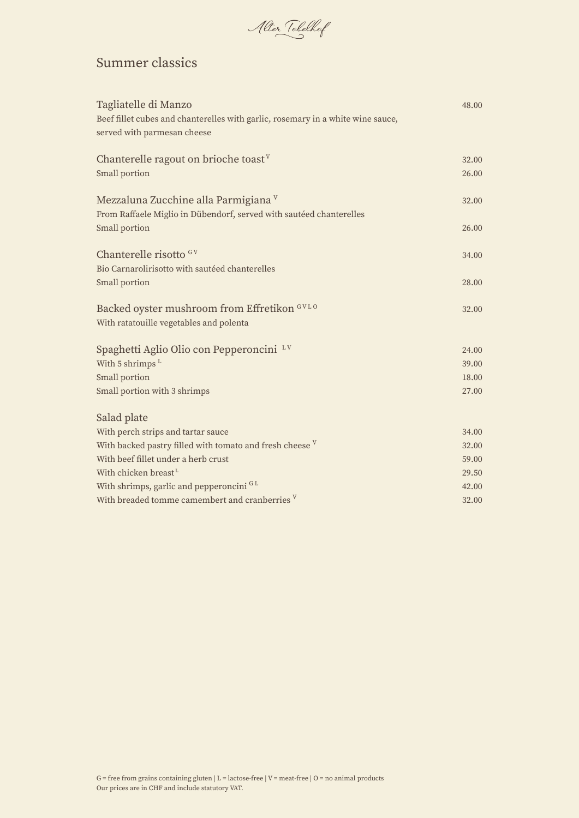

#### Summer classics

| Tagliatelle di Manzo                                                            | 48.00 |
|---------------------------------------------------------------------------------|-------|
| Beef fillet cubes and chanterelles with garlic, rosemary in a white wine sauce, |       |
| served with parmesan cheese                                                     |       |
| Chanterelle ragout on brioche toast <sup>v</sup>                                | 32.00 |
| Small portion                                                                   | 26.00 |
|                                                                                 |       |
| Mezzaluna Zucchine alla Parmigiana <sup>v</sup>                                 | 32.00 |
| From Raffaele Miglio in Dübendorf, served with sautéed chanterelles             |       |
| Small portion                                                                   | 26.00 |
| Chanterelle risotto GV                                                          | 34.00 |
| Bio Carnarolirisotto with sautéed chanterelles                                  |       |
| Small portion                                                                   | 28.00 |
|                                                                                 |       |
| Backed oyster mushroom from Effretikon GVLO                                     | 32.00 |
| With ratatouille vegetables and polenta                                         |       |
| Spaghetti Aglio Olio con Pepperoncini <sup>LV</sup>                             | 24.00 |
| With 5 shrimps <sup>L</sup>                                                     | 39.00 |
| Small portion                                                                   | 18.00 |
| Small portion with 3 shrimps                                                    | 27.00 |
| Salad plate                                                                     |       |
| With perch strips and tartar sauce                                              | 34.00 |
| With backed pastry filled with tomato and fresh cheese $^{\mathrm{V}}$          | 32.00 |
| With beef fillet under a herb crust                                             | 59.00 |
| With chicken breast <sup>L</sup>                                                | 29.50 |
| With shrimps, garlic and pepperoncini GL                                        | 42.00 |
| With breaded tomme camembert and cranberries $V$                                | 32.00 |